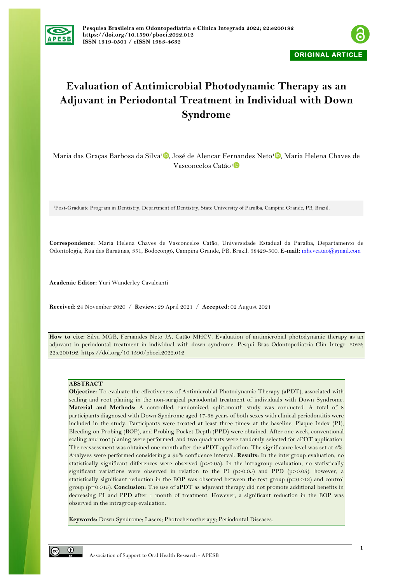



# **Evaluation of Antimicrobial Photodynamic Therapy as an Adjuvant in Periodontal Treatment in Individual with Down Syndrome**

Maria das Graças Barbosa da Silva<sup>[1](https://orcid.org/0000-0001-9073-4611)</sup><sup>0</sup>, José de Alencar Fernandes Neto<sup>1</sup><sup>0</sup>, Maria Helena Chaves de Vasconcelos Catão1

1Post-Graduate Program in Dentistry, Department of Dentistry, State University of Paraíba, Campina Grande, PB, Brazil.

**Correspondence:** Maria Helena Chaves de Vasconcelos Catão, Universidade Estadual da Paraíba, Departamento de Odontologia, Rua das Baraúnas, 351, Bodocongó, Campina Grande, PB, Brazil. 58429-500. **E-mail:** mhcvcatao@gmail.com

**Academic Editor:** Yuri Wanderley Cavalcanti

**Received:** 24 November 2020 / **Review:** 29 April 2021 / **Accepted:** 02 August 2021

**How to cite:** Silva MGB, Fernandes Neto JA, Catão MHCV. Evaluation of antimicrobial photodynamic therapy as an adjuvant in periodontal treatment in individual with down syndrome. Pesqui Bras Odontopediatria Clín Integr. 2022; 22:e200192. https://doi.org/10.1590/pboci.2022.012

# **ABSTRACT**

**Objective:** To evaluate the effectiveness of Antimicrobial Photodynamic Therapy (aPDT), associated with scaling and root planing in the non-surgical periodontal treatment of individuals with Down Syndrome. **Material and Methods:** A controlled, randomized, split-mouth study was conducted. A total of 8 participants diagnosed with Down Syndrome aged 17-38 years of both sexes with clinical periodontitis were included in the study. Participants were treated at least three times: at the baseline, Plaque Index (PI), Bleeding on Probing (BOP), and Probing Pocket Depth (PPD) were obtained. After one week, conventional scaling and root planing were performed, and two quadrants were randomly selected for aPDT application. The reassessment was obtained one month after the aPDT application. The significance level was set at 5%. Analyses were performed considering a 95% confidence interval. **Results:** In the intergroup evaluation, no statistically significant differences were observed (p>0.05). In the intragroup evaluation, no statistically significant variations were observed in relation to the PI  $(p>0.05)$  and PPD  $(p>0.05)$ ; however, a statistically significant reduction in the BOP was observed between the test group (p=0.013) and control group (p=0.015). **Conclusion:** The use of aPDT as adjuvant therapy did not promote additional benefits in decreasing PI and PPD after 1 month of treatment. However, a significant reduction in the BOP was observed in the intragroup evaluation.

**Keywords:** Down Syndrome; Lasers; Photochemotherapy; Periodontal Diseases.

 $\odot$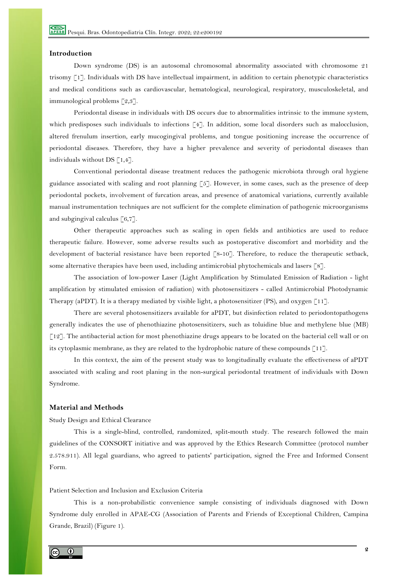# **Introduction**

Down syndrome (DS) is an autosomal chromosomal abnormality associated with chromosome 21 trisomy [1]. Individuals with DS have intellectual impairment, in addition to certain phenotypic characteristics and medical conditions such as cardiovascular, hematological, neurological, respiratory, musculoskeletal, and immunological problems [2,3].

Periodontal disease in individuals with DS occurs due to abnormalities intrinsic to the immune system, which predisposes such individuals to infections [4]. In addition, some local disorders such as malocclusion, altered frenulum insertion, early mucogingival problems, and tongue positioning increase the occurrence of periodontal diseases. Therefore, they have a higher prevalence and severity of periodontal diseases than individuals without DS  $[1,4]$ .

Conventional periodontal disease treatment reduces the pathogenic microbiota through oral hygiene guidance associated with scaling and root planning [5]. However, in some cases, such as the presence of deep periodontal pockets, involvement of furcation areas, and presence of anatomical variations, currently available manual instrumentation techniques are not sufficient for the complete elimination of pathogenic microorganisms and subgingival calculus  $\lceil 6, 7 \rceil$ .

Other therapeutic approaches such as scaling in open fields and antibiotics are used to reduce therapeutic failure. However, some adverse results such as postoperative discomfort and morbidity and the development of bacterial resistance have been reported [8-10]. Therefore, to reduce the therapeutic setback, some alternative therapies have been used, including antimicrobial phytochemicals and lasers [8].

The association of low-power Laser (Light Amplification by Stimulated Emission of Radiation - light amplification by stimulated emission of radiation) with photosensitizers - called Antimicrobial Photodynamic Therapy (aPDT). It is a therapy mediated by visible light, a photosensitizer (PS), and oxygen [11].

There are several photosensitizers available for aPDT, but disinfection related to periodontopathogens generally indicates the use of phenothiazine photosensitizers, such as toluidine blue and methylene blue (MB) [12]. The antibacterial action for most phenothiazine drugs appears to be located on the bacterial cell wall or on its cytoplasmic membrane, as they are related to the hydrophobic nature of these compounds [11].

In this context, the aim of the present study was to longitudinally evaluate the effectiveness of aPDT associated with scaling and root planing in the non-surgical periodontal treatment of individuals with Down Syndrome.

## **Material and Methods**

Study Design and Ethical Clearance

This is a single-blind, controlled, randomized, split-mouth study. The research followed the main guidelines of the CONSORT initiative and was approved by the Ethics Research Committee (protocol number 2.578.911). All legal guardians, who agreed to patients' participation, signed the Free and Informed Consent Form.

# Patient Selection and Inclusion and Exclusion Criteria

This is a non-probabilistic convenience sample consisting of individuals diagnosed with Down Syndrome duly enrolled in APAE-CG (Association of Parents and Friends of Exceptional Children, Campina Grande, Brazil) (Figure 1).

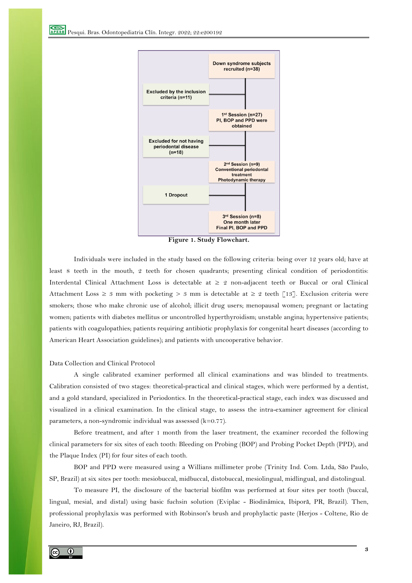

**Figure 1. Study Flowchart.**

Individuals were included in the study based on the following criteria: being over 12 years old; have at least 8 teeth in the mouth, 2 teeth for chosen quadrants; presenting clinical condition of periodontitis: Interdental Clinical Attachment Loss is detectable at ≥ 2 non-adjacent teeth or Buccal or oral Clinical Attachment Loss  $\geq 3$  mm with pocketing  $> 3$  mm is detectable at  $\geq 2$  teeth [13]. Exclusion criteria were smokers; those who make chronic use of alcohol; illicit drug users; menopausal women; pregnant or lactating women; patients with diabetes mellitus or uncontrolled hyperthyroidism; unstable angina; hypertensive patients; patients with coagulopathies; patients requiring antibiotic prophylaxis for congenital heart diseases (according to American Heart Association guidelines); and patients with uncooperative behavior.

## Data Collection and Clinical Protocol

A single calibrated examiner performed all clinical examinations and was blinded to treatments. Calibration consisted of two stages: theoretical-practical and clinical stages, which were performed by a dentist, and a gold standard, specialized in Periodontics. In the theoretical-practical stage, each index was discussed and visualized in a clinical examination. In the clinical stage, to assess the intra-examiner agreement for clinical parameters, a non-syndromic individual was assessed (k=0.77).

Before treatment, and after 1 month from the laser treatment, the examiner recorded the following clinical parameters for six sites of each tooth: Bleeding on Probing (BOP) and Probing Pocket Depth (PPD), and the Plaque Index (PI) for four sites of each tooth.

BOP and PPD were measured using a Willians millimeter probe (Trinity Ind. Com. Ltda, São Paulo, SP, Brazil) at six sites per tooth: mesiobuccal, midbuccal, distobuccal, mesiolingual, midlingual, and distolingual.

To measure PI, the disclosure of the bacterial biofilm was performed at four sites per tooth (buccal, lingual, mesial, and distal) using basic fuchsin solution (Eviplac - Biodinâmica, Ibiporã, PR, Brazil). Then, professional prophylaxis was performed with Robinson's brush and prophylactic paste (Herjos - Coltene, Rio de Janeiro, RJ, Brazil).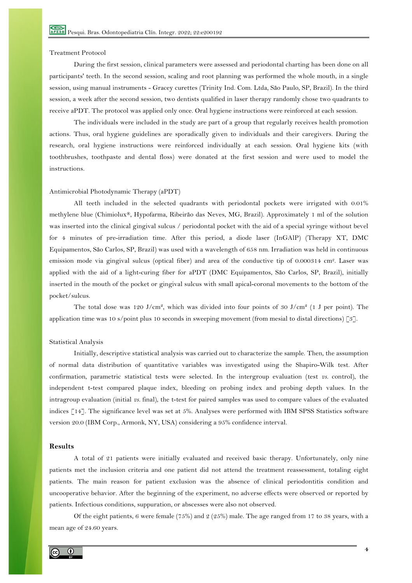# Treatment Protocol

During the first session, clinical parameters were assessed and periodontal charting has been done on all participants' teeth. In the second session, scaling and root planning was performed the whole mouth, in a single session, using manual instruments - Gracey curettes (Trinity Ind. Com. Ltda, São Paulo, SP, Brazil). In the third session, a week after the second session, two dentists qualified in laser therapy randomly chose two quadrants to receive aPDT. The protocol was applied only once. Oral hygiene instructions were reinforced at each session.

The individuals were included in the study are part of a group that regularly receives health promotion actions. Thus, oral hygiene guidelines are sporadically given to individuals and their caregivers. During the research, oral hygiene instructions were reinforced individually at each session. Oral hygiene kits (with toothbrushes, toothpaste and dental floss) were donated at the first session and were used to model the instructions.

## Antimicrobial Photodynamic Therapy (aPDT)

All teeth included in the selected quadrants with periodontal pockets were irrigated with 0.01% methylene blue (Chimiolux®, Hypofarma, Ribeirão das Neves, MG, Brazil). Approximately 1 ml of the solution was inserted into the clinical gingival sulcus / periodontal pocket with the aid of a special syringe without bevel for 4 minutes of pre-irradiation time. After this period, a diode laser (InGAlP) (Therapy XT, DMC Equipamentos, São Carlos, SP, Brazil) was used with a wavelength of 658 nm. Irradiation was held in continuous emission mode via gingival sulcus (optical fiber) and area of the conductive tip of 0.000314 cm2. Laser was applied with the aid of a light-curing fiber for aPDT (DMC Equipamentos, São Carlos, SP, Brazil), initially inserted in the mouth of the pocket or gingival sulcus with small apical-coronal movements to the bottom of the pocket/sulcus.

The total dose was  $120 \text{ J/cm}^2$ , which was divided into four points of 30 J/cm<sup>2</sup> (1 J per point). The application time was 10 s/point plus 10 seconds in sweeping movement (from mesial to distal directions) [3].

## Statistical Analysis

Initially, descriptive statistical analysis was carried out to characterize the sample. Then, the assumption of normal data distribution of quantitative variables was investigated using the Shapiro-Wilk test. After confirmation, parametric statistical tests were selected. In the intergroup evaluation (test *vs.* control), the independent t-test compared plaque index, bleeding on probing index and probing depth values. In the intragroup evaluation (initial *vs.* final), the t-test for paired samples was used to compare values of the evaluated indices [14]. The significance level was set at 5%. Analyses were performed with IBM SPSS Statistics software version 20.0 (IBM Corp., Armonk, NY, USA) considering a 95% confidence interval.

#### **Results**

A total of 21 patients were initially evaluated and received basic therapy. Unfortunately, only nine patients met the inclusion criteria and one patient did not attend the treatment reassessment, totaling eight patients. The main reason for patient exclusion was the absence of clinical periodontitis condition and uncooperative behavior. After the beginning of the experiment, no adverse effects were observed or reported by patients. Infectious conditions, suppuration, or abscesses were also not observed.

Of the eight patients, 6 were female (75%) and 2 (25%) male. The age ranged from 17 to 38 years, with a mean age of 24.60 years.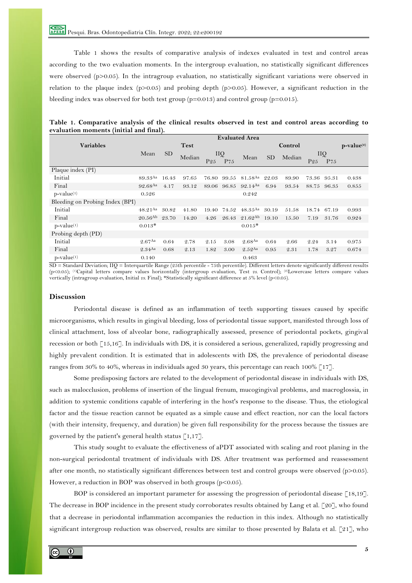Pesqui. Bras. Odontopediatria Clín. Integr. 2022; 22:e200192

Table 1 shows the results of comparative analysis of indexes evaluated in test and control areas according to the two evaluation moments. In the intergroup evaluation, no statistically significant differences were observed (p>0.05). In the intragroup evaluation, no statistically significant variations were observed in relation to the plaque index (p>0.05) and probing depth (p>0.05). However, a significant reduction in the bleeding index was observed for both test group ( $p=0.013$ ) and control group ( $p=0.015$ ).

|                                 | <b>Evaluated Area</b> |                 |             |                 |       |                       |           |         |                 |                 |       |
|---------------------------------|-----------------------|-----------------|-------------|-----------------|-------|-----------------------|-----------|---------|-----------------|-----------------|-------|
| <b>Variables</b>                |                       |                 | <b>Test</b> |                 |       |                       |           | Control | $p-value(2)$    |                 |       |
|                                 | Mean                  | SD <sub>1</sub> | Median      | IIQ             |       |                       |           | Median  | IIQ             |                 |       |
|                                 |                       |                 |             | P <sub>25</sub> | P75   | Mean                  | <b>SD</b> |         | P <sub>25</sub> | P <sub>75</sub> |       |
| Plaque index (PI)               |                       |                 |             |                 |       |                       |           |         |                 |                 |       |
| Initial                         | 89.33Aa               | 16.43           | 97.65       | 76.80           | 99.55 | 81.58 <sup>Aa</sup>   | 22.03     | 89.90   | 73.36           | 95.31           | 0.438 |
| Final                           | 92.68Aa               | 4.17            | 93.12       | 89.06           | 96.85 | $92.14^{Aa}$          | 6.94      | 93.54   | 88.75           | 96.35           | 0.855 |
| $p-value(1)$                    | 0.526                 |                 |             |                 |       | 0.242                 |           |         |                 |                 |       |
| Bleeding on Probing Index (BPI) |                       |                 |             |                 |       |                       |           |         |                 |                 |       |
| Initial                         | $48.21$ <sup>Aa</sup> | 30.82           | 41.80       | 19.40           | 74.52 | $48.35$ <sup>Aa</sup> | 30.19     | 51.58   | 18.74           | 67.19           | 0.993 |
| Final                           | $20.56^{Ab}$          | 23.70           | 14.20       | 4.26            | 26.43 | $21.62^{Ab}$          | 19.10     | 15.50   | 7.19            | 31.76           | 0.924 |
| $p-value(1)$                    | $0.013*$              |                 |             |                 |       | $0.015*$              |           |         |                 |                 |       |
| Probing depth (PD)              |                       |                 |             |                 |       |                       |           |         |                 |                 |       |
| Initial                         | $2.67$ Aa             | 0.64            | 2.78        | 2.15            | 3.08  | $2.68$ Aa             | 0.64      | 2.66    | 2.24            | 3.14            | 0.975 |
| Final                           | $2.34$ <sup>Aa</sup>  | 0.68            | 2.13        | 1.82            | 3.00  | $2.52$ Aa             | 0.95      | 2.31    | 1.78            | 3.27            | 0.674 |
| $p-value(1)$                    | 0.140                 |                 |             |                 |       | 0.463                 |           |         |                 |                 |       |

| Table 1. Comparative analysis of the clinical results observed in test and control areas according to |  |  |  |  |  |
|-------------------------------------------------------------------------------------------------------|--|--|--|--|--|
| evaluation moments (initial and final).                                                               |  |  |  |  |  |

SD = Standard Deviation; IIQ = Interquartile Range (25th percentile - 75th percentile). Different letters denote significantly different results (p<0.05); (1)Capital letters compare values horizontally (intergroup evaluation, Test *vs.* Control); (2)Lowercase letters compare values vertically (intragroup evaluation, Initial *vs.* Final); \*Statistically significant difference at 5% level (p<0.05).

# **Discussion**

Periodontal disease is defined as an inflammation of teeth supporting tissues caused by specific microorganisms, which results in gingival bleeding, loss of periodontal tissue support, manifested through loss of clinical attachment, loss of alveolar bone, radiographically assessed, presence of periodontal pockets, gingival recession or both [15,16]. In individuals with DS, it is considered a serious, generalized, rapidly progressing and highly prevalent condition. It is estimated that in adolescents with DS, the prevalence of periodontal disease ranges from 30% to 40%, whereas in individuals aged 30 years, this percentage can reach 100% [17].

Some predisposing factors are related to the development of periodontal disease in individuals with DS, such as malocclusion, problems of insertion of the lingual frenum, mucogingival problems, and macroglossia, in addition to systemic conditions capable of interfering in the host's response to the disease. Thus, the etiological factor and the tissue reaction cannot be equated as a simple cause and effect reaction, nor can the local factors (with their intensity, frequency, and duration) be given full responsibility for the process because the tissues are governed by the patient's general health status  $\lceil 1,17 \rceil$ .

This study sought to evaluate the effectiveness of aPDT associated with scaling and root planing in the non-surgical periodontal treatment of individuals with DS. After treatment was performed and reassessment after one month, no statistically significant differences between test and control groups were observed (p>0.05). However, a reduction in BOP was observed in both groups  $(p<0.05)$ .

BOP is considered an important parameter for assessing the progression of periodontal disease [18,19]. The decrease in BOP incidence in the present study corroborates results obtained by Lang et al. [20], who found that a decrease in periodontal inflammation accompanies the reduction in this index. Although no statistically significant intergroup reduction was observed, results are similar to those presented by Balata et al. [21], who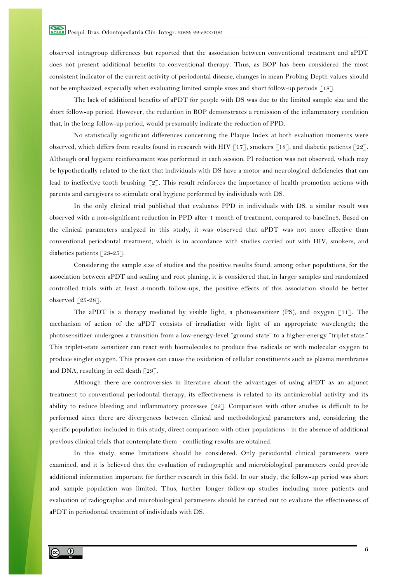observed intragroup differences but reported that the association between conventional treatment and aPDT does not present additional benefits to conventional therapy. Thus, as BOP has been considered the most consistent indicator of the current activity of periodontal disease, changes in mean Probing Depth values should not be emphasized, especially when evaluating limited sample sizes and short follow-up periods [18].

The lack of additional benefits of aPDT for people with DS was due to the limited sample size and the short follow-up period. However, the reduction in BOP demonstrates a remission of the inflammatory condition that, in the long follow-up period, would presumably indicate the reduction of PPD.

No statistically significant differences concerning the Plaque Index at both evaluation moments were observed, which differs from results found in research with HIV [17], smokers [18], and diabetic patients [22]. Although oral hygiene reinforcement was performed in each session, PI reduction was not observed, which may be hypothetically related to the fact that individuals with DS have a motor and neurological deficiencies that can lead to ineffective tooth brushing [2]. This result reinforces the importance of health promotion actions with parents and caregivers to stimulate oral hygiene performed by individuals with DS.

In the only clinical trial published that evaluates PPD in individuals with DS, a similar result was observed with a non-significant reduction in PPD after 1 month of treatment, compared to baseline3. Based on the clinical parameters analyzed in this study, it was observed that aPDT was not more effective than conventional periodontal treatment, which is in accordance with studies carried out with HIV, smokers, and diabetics patients [23-25].

Considering the sample size of studies and the positive results found, among other populations, for the association between aPDT and scaling and root planing, it is considered that, in larger samples and randomized controlled trials with at least 3-month follow-ups, the positive effects of this association should be better observed [25-28].

The aPDT is a therapy mediated by visible light, a photosensitizer  $(PS)$ , and oxygen [11]. The mechanism of action of the aPDT consists of irradiation with light of an appropriate wavelength; the photosensitizer undergoes a transition from a low-energy-level "ground state" to a higher-energy "triplet state." This triplet-state sensitizer can react with biomolecules to produce free radicals or with molecular oxygen to produce singlet oxygen. This process can cause the oxidation of cellular constituents such as plasma membranes and DNA, resulting in cell death [29].

Although there are controversies in literature about the advantages of using aPDT as an adjunct treatment to conventional periodontal therapy, its effectiveness is related to its antimicrobial activity and its ability to reduce bleeding and inflammatory processes [22]. Comparison with other studies is difficult to be performed since there are divergences between clinical and methodological parameters and, considering the specific population included in this study, direct comparison with other populations - in the absence of additional previous clinical trials that contemplate them - conflicting results are obtained.

In this study, some limitations should be considered. Only periodontal clinical parameters were examined, and it is believed that the evaluation of radiographic and microbiological parameters could provide additional information important for further research in this field. In our study, the follow-up period was short and sample population was limited. Thus, further longer follow-up studies including more patients and evaluation of radiographic and microbiological parameters should be carried out to evaluate the effectiveness of aPDT in periodontal treatment of individuals with DS.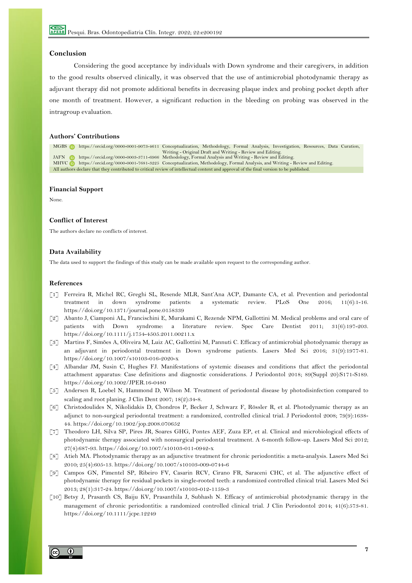# **Conclusion**

Considering the good acceptance by individuals with Down syndrome and their caregivers, in addition to the good results observed clinically, it was observed that the use of antimicrobial photodynamic therapy as adjuvant therapy did not promote additional benefits in decreasing plaque index and probing pocket depth after one month of treatment. However, a significant reduction in the bleeding on probing was observed in the intragroup evaluation.

# **Authors' Contributions**

MGBS **https://orcid.org/0000-0001-9073-4611 Conceptualization, Methodology, Formal Analysis, Investigation, Resources, Data Curation,** Writing - Original Draft and Writing - Review and Editing.

JAFN https://orcid.org/0000-0003-3711-6966 Methodology, Formal Analysis and Writing - Review and Editing.<br>MHVC https://orcid.org/0000-0001-7681-3225 Conceptualization, Methodology, Formal Analysis, and Writing - I

https://orcid.org/0000-0001-7681-3225 Conceptualization, Methodology, Formal Analysis, and Writing - Review and Editing. All authors declare that they contributed to critical review of intellectual content and approval of the final version to be published.

#### **Financial Support**

None.

#### **Conflict of Interest**

The authors declare no conflicts of interest.

## **Data Availability**

The data used to support the findings of this study can be made available upon request to the corresponding author.

## **References**

- [1] Ferreira R, Michel RC, Greghi SL, Resende MLR, Sant'Ana ACP, Damante CA, et al. Prevention and periodontal treatment in down syndrome patients: a systematic review. PLoS One 2016; 11(6):1-16. https://doi.org/10.1371/journal.pone.0158339
- [2] Abanto J, Ciamponi AL, Francischini E, Murakami C, Rezende NPM, Gallottini M. Medical problems and oral care of patients with Down syndrome: a literature review. Spec Care Dentist 2011; 31(6):197-203. https://doi.org/10.1111/j.1754-4505.2011.00211.x
- [3] Martins F, Simões A, Oliveira M, Luiz AC, Gallottini M, Pannuti C. Efficacy of antimicrobial photodynamic therapy as an adjuvant in periodontal treatment in Down syndrome patients. Lasers Med Sci 2016; 31(9):1977-81. https://doi.org/10.1007/s10103-016-2020-x
- [4] Albandar JM, Susin C, Hughes FJ. Manifestations of systemic diseases and conditions that affect the periodontal attachment apparatus: Case definitions and diagnostic considerations. J Periodontol 2018; 89(Suppl 20):S171-S189. https://doi.org/10.1002/JPER.16-0480
- [5] Andersen R, Loebel N, Hammond D, Wilson M. Treatment of periodontal disease by photodisinfection compared to scaling and root planing. J Clin Dent 2007; 18(2):34-8.
- [6] Christodoulides N, Nikolidakis D, Chondros P, Becker J, Schwarz F, Rössler R, et al. Photodynamic therapy as an adjunct to non-surgical periodontal treatment: a randomized, controlled clinical trial. J Periodontol 2008; 79(9):1638- 44. https://doi.org/10.1902/jop.2008.070652
- [7] Theodoro LH, Silva SP, Pires JR, Soares GHG, Pontes AEF, Zuza EP, et al. Clinical and microbiological effects of photodynamic therapy associated with nonsurgical periodontal treatment. A 6-month follow-up. Lasers Med Sci 2012; 27(4):687-93. https://doi.org/10.1007/s10103-011-0942-x
- [8] Atieh MA. Photodynamic therapy as an adjunctive treatment for chronic periodontitis: a meta-analysis. Lasers Med Sci 2010; 25(4):605-13. https://doi.org/10.1007/s10103-009-0744-6
- [9] Campos GN, Pimentel SP, Ribeiro FV, Casarin RCV, Cirano FR, Saraceni CHC, et al. The adjunctive effect of photodynamic therapy for residual pockets in single-rooted teeth: a randomized controlled clinical trial. Lasers Med Sci 2013; 28(1):317-24. https://doi.org/10.1007/s10103-012-1159-3
- [10] Betsy J, Prasanth CS, Baiju KV, Prasanthila J, Subhash N. Efficacy of antimicrobial photodynamic therapy in the management of chronic periodontitis: a randomized controlled clinical trial. J Clin Periodontol 2014; 41(6):573-81. https://doi.org/10.1111/jcpe.12249